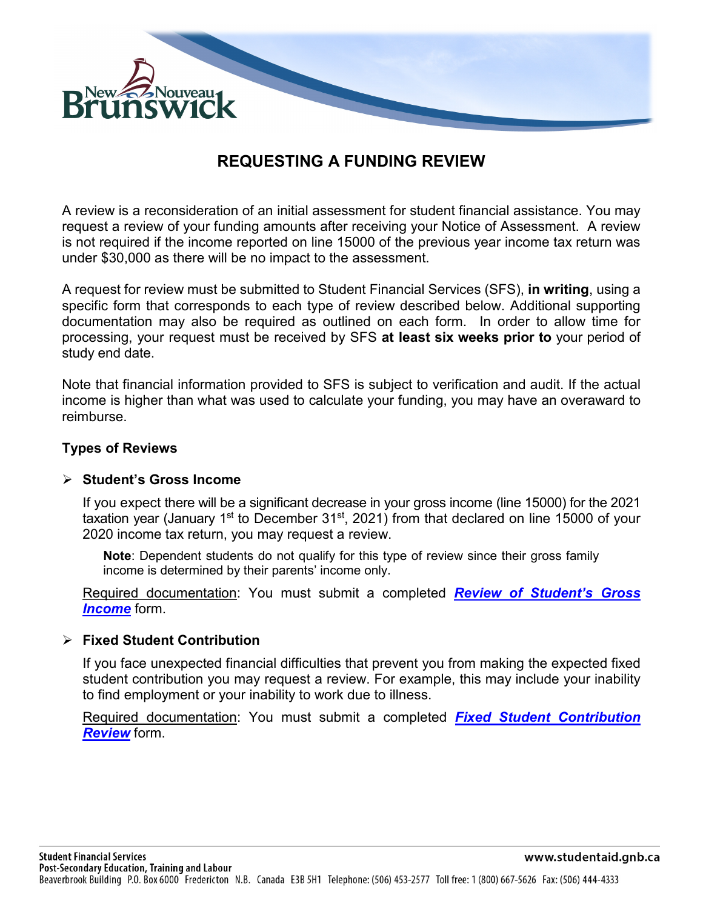

# **REQUESTING A FUNDING REVIEW**

A review is a reconsideration of an initial assessment for student financial assistance. You may request a review of your funding amounts after receiving your Notice of Assessment. A review is not required if the income reported on line 15000 of the previous year income tax return was under \$30,000 as there will be no impact to the assessment.

A request for review must be submitted to Student Financial Services (SFS), **in writing**, using a specific form that corresponds to each type of review described below. Additional supporting documentation may also be required as outlined on each form. In order to allow time for processing, your request must be received by SFS **at least six weeks prior to** your period of study end date.

Note that financial information provided to SFS is subject to verification and audit. If the actual income is higher than what was used to calculate your funding, you may have an overaward to reimburse.

#### **Types of Reviews**

#### **Student's Gross Income**

If you expect there will be a significant decrease in your gross income (line 15000) for the 2021 taxation year (January 1<sup>st</sup> to December 31<sup>st</sup>, 2021) from that declared on line 15000 of your 2020 income tax return, you may request a review.

**Note**: Dependent students do not qualify for this type of review since their gross family income is determined by their parents' income only.

Required documentation: You must submit a completed *[Review of Student's Gross](https://www2.gnb.ca/content/dam/gnb/Departments/petl-epft/PDF/SFS/rsgi-e.pdf)  [Income](https://www2.gnb.ca/content/dam/gnb/Departments/petl-epft/PDF/SFS/rsgi-e.pdf)* form.

#### **Fixed Student Contribution**

If you face unexpected financial difficulties that prevent you from making the expected fixed student contribution you may request a review. For example, this may include your inability to find employment or your inability to work due to illness.

Required documentation: You must submit a completed *[Fixed Student Contribution](https://www2.gnb.ca/content/dam/gnb/Departments/petl-epft/PDF/SFS/fscr-e.pdf)  [Review](https://www2.gnb.ca/content/dam/gnb/Departments/petl-epft/PDF/SFS/fscr-e.pdf)* form.